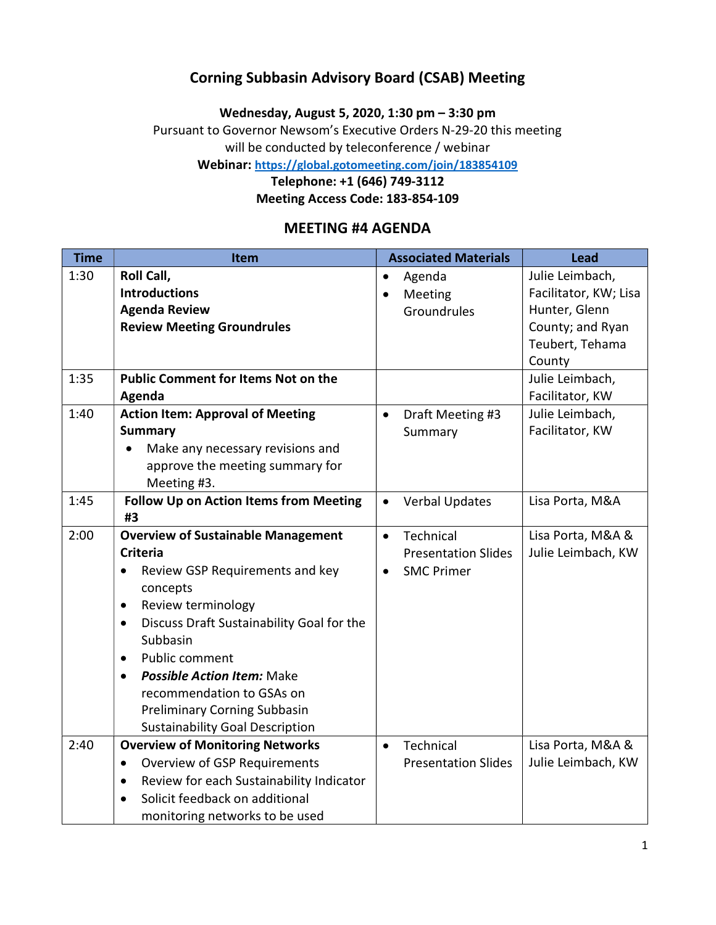### Corning Subbasin Advisory Board (CSAB) Meeting

Wednesday, August 5, 2020, 1:30 pm – 3:30 pm

Pursuant to Governor Newsom's Executive Orders N-29-20 this meeting will be conducted by teleconference / webinar

Webinar: https://global.gotomeeting.com/join/183854109

Telephone: +1 (646) 749-3112

Meeting Access Code: 183-854-109

#### MEETING #4 AGENDA

| <b>Time</b> | Item                                                   |           | <b>Associated Materials</b> | <b>Lead</b>           |
|-------------|--------------------------------------------------------|-----------|-----------------------------|-----------------------|
| 1:30        | Roll Call,                                             | $\bullet$ | Agenda                      | Julie Leimbach,       |
|             | <b>Introductions</b>                                   |           | Meeting                     | Facilitator, KW; Lisa |
|             | <b>Agenda Review</b>                                   |           | Groundrules                 | Hunter, Glenn         |
|             | <b>Review Meeting Groundrules</b>                      |           |                             | County; and Ryan      |
|             |                                                        |           |                             | Teubert, Tehama       |
|             |                                                        |           |                             | County                |
| 1:35        | <b>Public Comment for Items Not on the</b>             |           |                             | Julie Leimbach,       |
|             | Agenda                                                 |           |                             | Facilitator, KW       |
| 1:40        | <b>Action Item: Approval of Meeting</b>                | $\bullet$ | Draft Meeting #3            | Julie Leimbach,       |
|             | <b>Summary</b>                                         |           | Summary                     | Facilitator, KW       |
|             | Make any necessary revisions and                       |           |                             |                       |
|             | approve the meeting summary for                        |           |                             |                       |
|             | Meeting #3.                                            |           |                             |                       |
| 1:45        | Follow Up on Action Items from Meeting                 | $\bullet$ | <b>Verbal Updates</b>       | Lisa Porta, M&A       |
|             | #3                                                     |           |                             |                       |
| 2:00        | <b>Overview of Sustainable Management</b>              | $\bullet$ | Technical                   | Lisa Porta, M&A &     |
|             | <b>Criteria</b>                                        |           | <b>Presentation Slides</b>  | Julie Leimbach, KW    |
|             | Review GSP Requirements and key<br>$\bullet$           |           | <b>SMC Primer</b>           |                       |
|             | concepts                                               |           |                             |                       |
|             | Review terminology<br>$\bullet$                        |           |                             |                       |
|             | Discuss Draft Sustainability Goal for the<br>$\bullet$ |           |                             |                       |
|             | Subbasin                                               |           |                             |                       |
|             | Public comment<br>$\bullet$                            |           |                             |                       |
|             | <b>Possible Action Item: Make</b><br>$\bullet$         |           |                             |                       |
|             | recommendation to GSAs on                              |           |                             |                       |
|             | <b>Preliminary Corning Subbasin</b>                    |           |                             |                       |
|             | <b>Sustainability Goal Description</b>                 |           |                             |                       |
| 2:40        | <b>Overview of Monitoring Networks</b>                 | $\bullet$ | Technical                   | Lisa Porta, M&A &     |
|             | Overview of GSP Requirements<br>$\bullet$              |           | <b>Presentation Slides</b>  | Julie Leimbach, KW    |
|             | Review for each Sustainability Indicator<br>$\bullet$  |           |                             |                       |
|             | Solicit feedback on additional<br>$\bullet$            |           |                             |                       |
|             | monitoring networks to be used                         |           |                             |                       |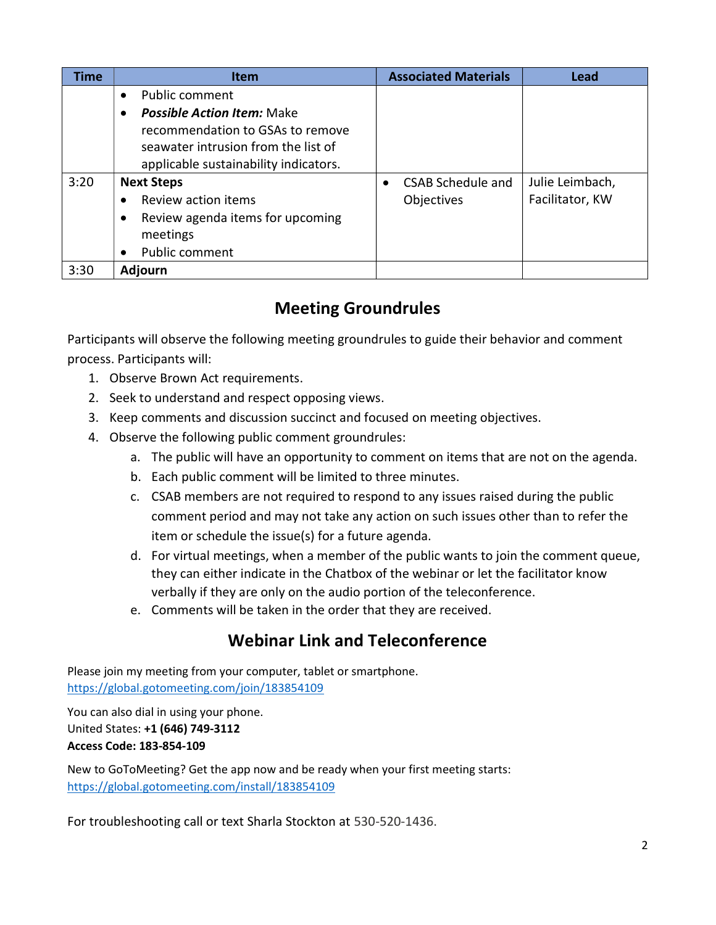| <b>Time</b> | <b>Item</b>                                    | <b>Associated Materials</b> | <b>Lead</b>     |
|-------------|------------------------------------------------|-----------------------------|-----------------|
|             | Public comment<br>$\bullet$                    |                             |                 |
|             | <b>Possible Action Item: Make</b><br>$\bullet$ |                             |                 |
|             | recommendation to GSAs to remove               |                             |                 |
|             | seawater intrusion from the list of            |                             |                 |
|             | applicable sustainability indicators.          |                             |                 |
| 3:20        | <b>Next Steps</b>                              | <b>CSAB Schedule and</b>    | Julie Leimbach, |
|             | Review action items                            | Objectives                  | Facilitator, KW |
|             | Review agenda items for upcoming<br>٠          |                             |                 |
|             | meetings                                       |                             |                 |
|             | Public comment<br>$\bullet$                    |                             |                 |
| 3:30        | <b>Adjourn</b>                                 |                             |                 |

# Meeting Groundrules

Participants will observe the following meeting groundrules to guide their behavior and comment process. Participants will:

- 1. Observe Brown Act requirements.
- 2. Seek to understand and respect opposing views.
- 3. Keep comments and discussion succinct and focused on meeting objectives.
- 4. Observe the following public comment groundrules:
	- a. The public will have an opportunity to comment on items that are not on the agenda.
	- b. Each public comment will be limited to three minutes.
	- c. CSAB members are not required to respond to any issues raised during the public comment period and may not take any action on such issues other than to refer the item or schedule the issue(s) for a future agenda.
	- d. For virtual meetings, when a member of the public wants to join the comment queue, they can either indicate in the Chatbox of the webinar or let the facilitator know verbally if they are only on the audio portion of the teleconference.
	- e. Comments will be taken in the order that they are received.

# Webinar Link and Teleconference

Please join my meeting from your computer, tablet or smartphone. https://global.gotomeeting.com/join/183854109

You can also dial in using your phone. United States: +1 (646) 749-3112 Access Code: 183-854-109

New to GoToMeeting? Get the app now and be ready when your first meeting starts: https://global.gotomeeting.com/install/183854109

For troubleshooting call or text Sharla Stockton at 530-520-1436.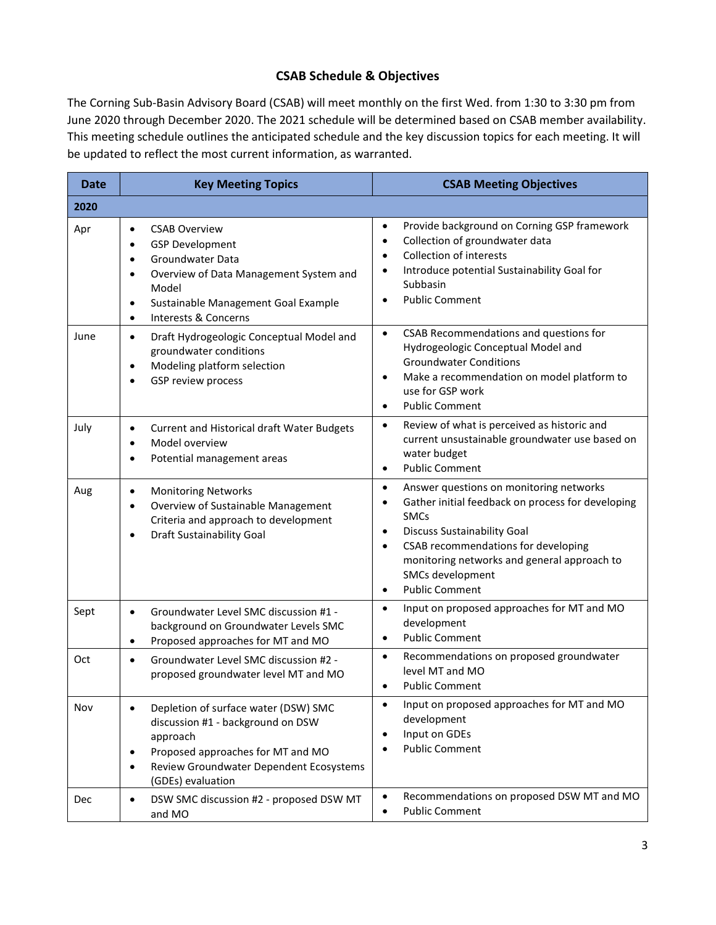#### CSAB Schedule & Objectives

The Corning Sub-Basin Advisory Board (CSAB) will meet monthly on the first Wed. from 1:30 to 3:30 pm from June 2020 through December 2020. The 2021 schedule will be determined based on CSAB member availability. This meeting schedule outlines the anticipated schedule and the key discussion topics for each meeting. It will be updated to reflect the most current information, as warranted.

| Date       | <b>Key Meeting Topics</b>                                                                                                                                                                                                                                  | <b>CSAB Meeting Objectives</b>                                                                                                                                                                                                                                                                                              |  |
|------------|------------------------------------------------------------------------------------------------------------------------------------------------------------------------------------------------------------------------------------------------------------|-----------------------------------------------------------------------------------------------------------------------------------------------------------------------------------------------------------------------------------------------------------------------------------------------------------------------------|--|
| 2020       |                                                                                                                                                                                                                                                            |                                                                                                                                                                                                                                                                                                                             |  |
| Apr        | <b>CSAB Overview</b><br>$\bullet$<br><b>GSP Development</b><br>$\bullet$<br>Groundwater Data<br>$\bullet$<br>Overview of Data Management System and<br>$\bullet$<br>Model<br>Sustainable Management Goal Example<br>$\bullet$<br>Interests & Concerns<br>٠ | Provide background on Corning GSP framework<br>$\bullet$<br>Collection of groundwater data<br>$\bullet$<br><b>Collection of interests</b><br>Introduce potential Sustainability Goal for<br>٠<br>Subbasin<br><b>Public Comment</b><br>$\bullet$                                                                             |  |
| June       | Draft Hydrogeologic Conceptual Model and<br>$\bullet$<br>groundwater conditions<br>Modeling platform selection<br>$\bullet$<br>GSP review process<br>$\bullet$                                                                                             | CSAB Recommendations and questions for<br>$\bullet$<br>Hydrogeologic Conceptual Model and<br><b>Groundwater Conditions</b><br>Make a recommendation on model platform to<br>$\bullet$<br>use for GSP work<br><b>Public Comment</b><br>$\bullet$                                                                             |  |
| July       | Current and Historical draft Water Budgets<br>$\bullet$<br>Model overview<br>$\bullet$<br>Potential management areas<br>$\bullet$                                                                                                                          | Review of what is perceived as historic and<br>$\bullet$<br>current unsustainable groundwater use based on<br>water budget<br><b>Public Comment</b><br>$\bullet$                                                                                                                                                            |  |
| Aug        | <b>Monitoring Networks</b><br>$\bullet$<br>Overview of Sustainable Management<br>$\bullet$<br>Criteria and approach to development<br>Draft Sustainability Goal<br>$\bullet$                                                                               | Answer questions on monitoring networks<br>$\bullet$<br>Gather initial feedback on process for developing<br><b>SMCs</b><br><b>Discuss Sustainability Goal</b><br>$\bullet$<br>CSAB recommendations for developing<br>$\bullet$<br>monitoring networks and general approach to<br>SMCs development<br><b>Public Comment</b> |  |
| Sept       | Groundwater Level SMC discussion #1 -<br>$\bullet$<br>background on Groundwater Levels SMC<br>Proposed approaches for MT and MO<br>$\bullet$                                                                                                               | Input on proposed approaches for MT and MO<br>$\bullet$<br>development<br><b>Public Comment</b><br>$\bullet$                                                                                                                                                                                                                |  |
| Oct        | Groundwater Level SMC discussion #2 -<br>$\bullet$<br>proposed groundwater level MT and MO                                                                                                                                                                 | Recommendations on proposed groundwater<br>$\bullet$<br>level MT and MO<br><b>Public Comment</b>                                                                                                                                                                                                                            |  |
| Nov        | Depletion of surface water (DSW) SMC<br>$\bullet$<br>discussion #1 - background on DSW<br>approach<br>Proposed approaches for MT and MO<br>$\bullet$<br>Review Groundwater Dependent Ecosystems<br>$\bullet$<br>(GDEs) evaluation                          | Input on proposed approaches for MT and MO<br>$\bullet$<br>development<br>Input on GDEs<br>$\bullet$<br><b>Public Comment</b>                                                                                                                                                                                               |  |
| <b>Dec</b> | DSW SMC discussion #2 - proposed DSW MT<br>$\bullet$<br>and MO                                                                                                                                                                                             | Recommendations on proposed DSW MT and MO<br><b>Public Comment</b><br>$\bullet$                                                                                                                                                                                                                                             |  |